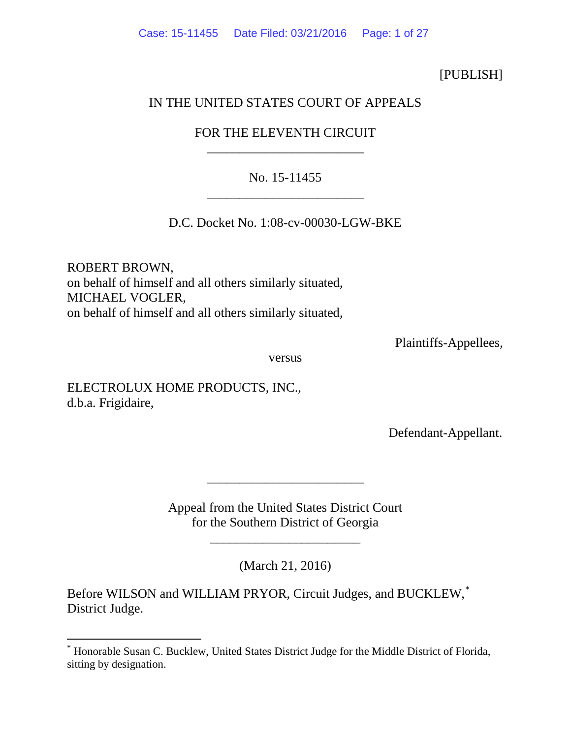## [PUBLISH]

## IN THE UNITED STATES COURT OF APPEALS

# FOR THE ELEVENTH CIRCUIT \_\_\_\_\_\_\_\_\_\_\_\_\_\_\_\_\_\_\_\_\_\_\_\_

# No. 15-11455 \_\_\_\_\_\_\_\_\_\_\_\_\_\_\_\_\_\_\_\_\_\_\_\_

D.C. Docket No. 1:08-cv-00030-LGW-BKE

ROBERT BROWN, on behalf of himself and all others similarly situated, MICHAEL VOGLER, on behalf of himself and all others similarly situated,

Plaintiffs-Appellees,

versus

ELECTROLUX HOME PRODUCTS, INC., d.b.a. Frigidaire,

Defendant-Appellant.

Appeal from the United States District Court for the Southern District of Georgia

\_\_\_\_\_\_\_\_\_\_\_\_\_\_\_\_\_\_\_\_\_\_\_

\_\_\_\_\_\_\_\_\_\_\_\_\_\_\_\_\_\_\_\_\_\_\_\_

(March 21, 2016)

Before WILSON and WILLIAM PRYOR, Circuit Judges, and BUCKLEW,<sup>[\\*](#page-0-0)</sup> District Judge.

<span id="page-0-0"></span> <sup>\*</sup> Honorable Susan C. Bucklew, United States District Judge for the Middle District of Florida, sitting by designation.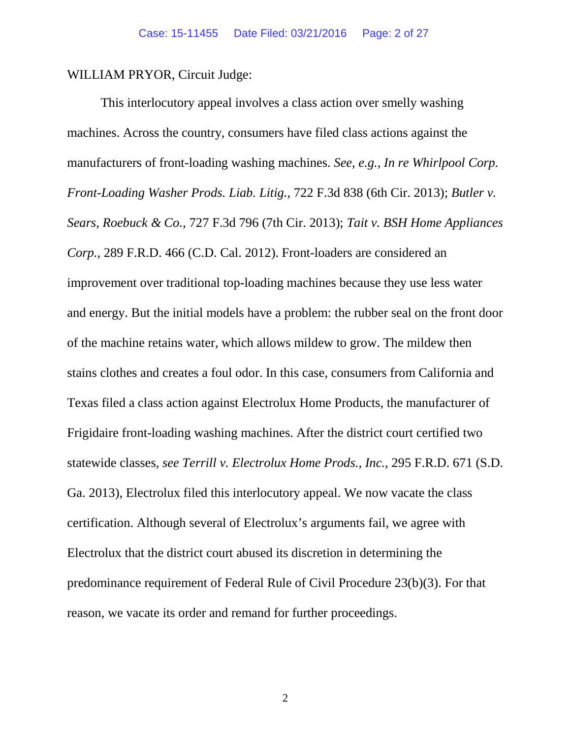WILLIAM PRYOR, Circuit Judge:

This interlocutory appeal involves a class action over smelly washing machines. Across the country, consumers have filed class actions against the manufacturers of front-loading washing machines. *See, e.g.*, *In re Whirlpool Corp. Front-Loading Washer Prods. Liab. Litig.*, 722 F.3d 838 (6th Cir. 2013); *Butler v. Sears, Roebuck & Co.*, 727 F.3d 796 (7th Cir. 2013); *Tait v. BSH Home Appliances Corp.*, 289 F.R.D. 466 (C.D. Cal. 2012). Front-loaders are considered an improvement over traditional top-loading machines because they use less water and energy. But the initial models have a problem: the rubber seal on the front door of the machine retains water, which allows mildew to grow. The mildew then stains clothes and creates a foul odor. In this case, consumers from California and Texas filed a class action against Electrolux Home Products, the manufacturer of Frigidaire front-loading washing machines. After the district court certified two statewide classes, *see Terrill v. Electrolux Home Prods., Inc.*, 295 F.R.D. 671 (S.D. Ga. 2013), Electrolux filed this interlocutory appeal. We now vacate the class certification. Although several of Electrolux's arguments fail, we agree with Electrolux that the district court abused its discretion in determining the predominance requirement of Federal Rule of Civil Procedure 23(b)(3). For that reason, we vacate its order and remand for further proceedings.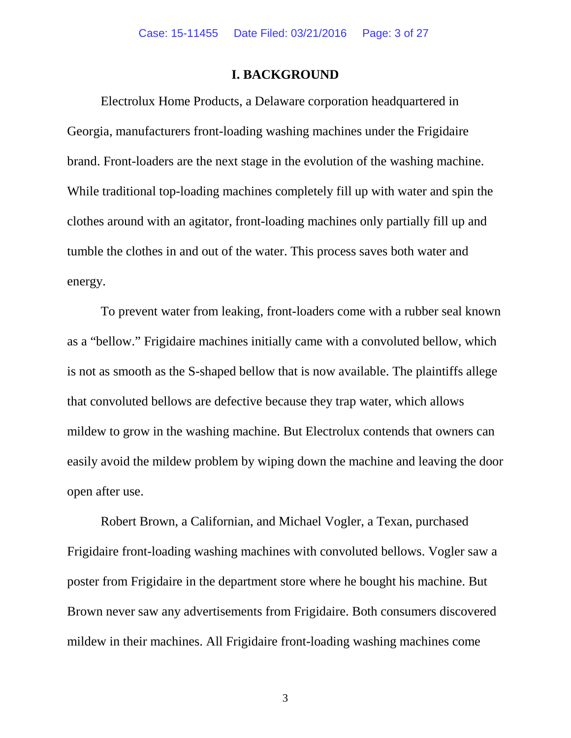### **I. BACKGROUND**

Electrolux Home Products, a Delaware corporation headquartered in Georgia, manufacturers front-loading washing machines under the Frigidaire brand. Front-loaders are the next stage in the evolution of the washing machine. While traditional top-loading machines completely fill up with water and spin the clothes around with an agitator, front-loading machines only partially fill up and tumble the clothes in and out of the water. This process saves both water and energy.

To prevent water from leaking, front-loaders come with a rubber seal known as a "bellow." Frigidaire machines initially came with a convoluted bellow, which is not as smooth as the S-shaped bellow that is now available. The plaintiffs allege that convoluted bellows are defective because they trap water, which allows mildew to grow in the washing machine. But Electrolux contends that owners can easily avoid the mildew problem by wiping down the machine and leaving the door open after use.

Robert Brown, a Californian, and Michael Vogler, a Texan, purchased Frigidaire front-loading washing machines with convoluted bellows. Vogler saw a poster from Frigidaire in the department store where he bought his machine. But Brown never saw any advertisements from Frigidaire. Both consumers discovered mildew in their machines. All Frigidaire front-loading washing machines come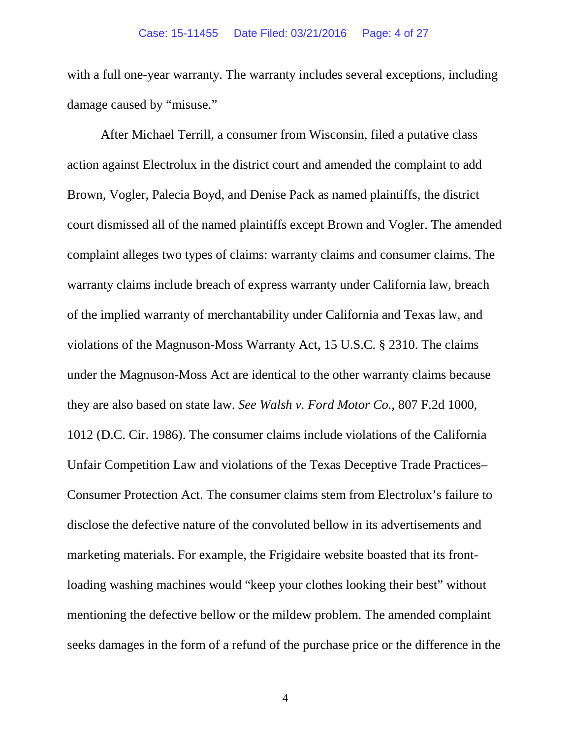with a full one-year warranty. The warranty includes several exceptions, including damage caused by "misuse."

After Michael Terrill, a consumer from Wisconsin, filed a putative class action against Electrolux in the district court and amended the complaint to add Brown, Vogler, Palecia Boyd, and Denise Pack as named plaintiffs, the district court dismissed all of the named plaintiffs except Brown and Vogler. The amended complaint alleges two types of claims: warranty claims and consumer claims. The warranty claims include breach of express warranty under California law, breach of the implied warranty of merchantability under California and Texas law, and violations of the Magnuson-Moss Warranty Act, 15 U.S.C. § 2310. The claims under the Magnuson-Moss Act are identical to the other warranty claims because they are also based on state law. *See Walsh v. Ford Motor Co.*, 807 F.2d 1000, 1012 (D.C. Cir. 1986). The consumer claims include violations of the California Unfair Competition Law and violations of the Texas Deceptive Trade Practices– Consumer Protection Act. The consumer claims stem from Electrolux's failure to disclose the defective nature of the convoluted bellow in its advertisements and marketing materials. For example, the Frigidaire website boasted that its frontloading washing machines would "keep your clothes looking their best" without mentioning the defective bellow or the mildew problem. The amended complaint seeks damages in the form of a refund of the purchase price or the difference in the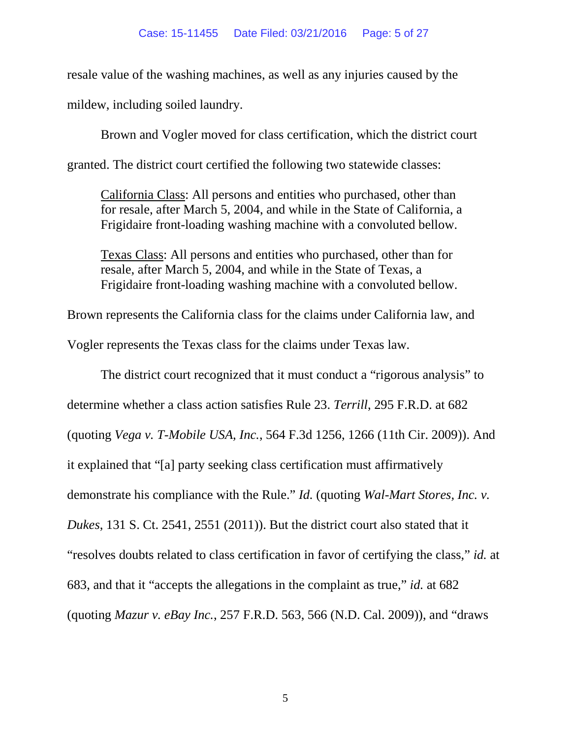resale value of the washing machines, as well as any injuries caused by the mildew, including soiled laundry.

Brown and Vogler moved for class certification, which the district court granted. The district court certified the following two statewide classes:

California Class: All persons and entities who purchased, other than for resale, after March 5, 2004, and while in the State of California, a Frigidaire front-loading washing machine with a convoluted bellow.

Texas Class: All persons and entities who purchased, other than for resale, after March 5, 2004, and while in the State of Texas, a Frigidaire front-loading washing machine with a convoluted bellow.

Brown represents the California class for the claims under California law, and Vogler represents the Texas class for the claims under Texas law.

The district court recognized that it must conduct a "rigorous analysis" to determine whether a class action satisfies Rule 23. *Terrill*, 295 F.R.D. at 682 (quoting *Vega v. T-Mobile USA, Inc.*, 564 F.3d 1256, 1266 (11th Cir. 2009)). And it explained that "[a] party seeking class certification must affirmatively demonstrate his compliance with the Rule." *Id.* (quoting *Wal-Mart Stores, Inc. v. Dukes*, 131 S. Ct. 2541, 2551 (2011)). But the district court also stated that it "resolves doubts related to class certification in favor of certifying the class," *id.* at 683, and that it "accepts the allegations in the complaint as true," *id.* at 682 (quoting *Mazur v. eBay Inc.*, 257 F.R.D. 563, 566 (N.D. Cal. 2009)), and "draws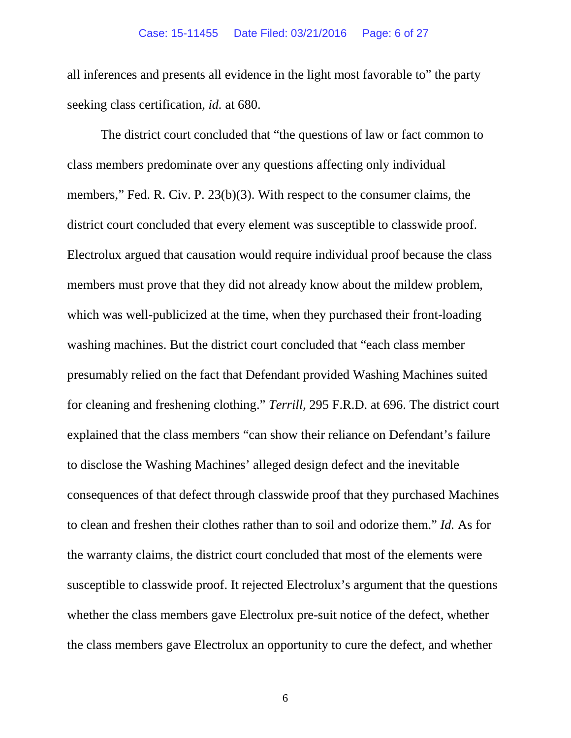all inferences and presents all evidence in the light most favorable to" the party seeking class certification, *id.* at 680.

The district court concluded that "the questions of law or fact common to class members predominate over any questions affecting only individual members," Fed. R. Civ. P. 23(b)(3). With respect to the consumer claims, the district court concluded that every element was susceptible to classwide proof. Electrolux argued that causation would require individual proof because the class members must prove that they did not already know about the mildew problem, which was well-publicized at the time, when they purchased their front-loading washing machines. But the district court concluded that "each class member presumably relied on the fact that Defendant provided Washing Machines suited for cleaning and freshening clothing." *Terrill*, 295 F.R.D. at 696. The district court explained that the class members "can show their reliance on Defendant's failure to disclose the Washing Machines' alleged design defect and the inevitable consequences of that defect through classwide proof that they purchased Machines to clean and freshen their clothes rather than to soil and odorize them." *Id.* As for the warranty claims, the district court concluded that most of the elements were susceptible to classwide proof. It rejected Electrolux's argument that the questions whether the class members gave Electrolux pre-suit notice of the defect, whether the class members gave Electrolux an opportunity to cure the defect, and whether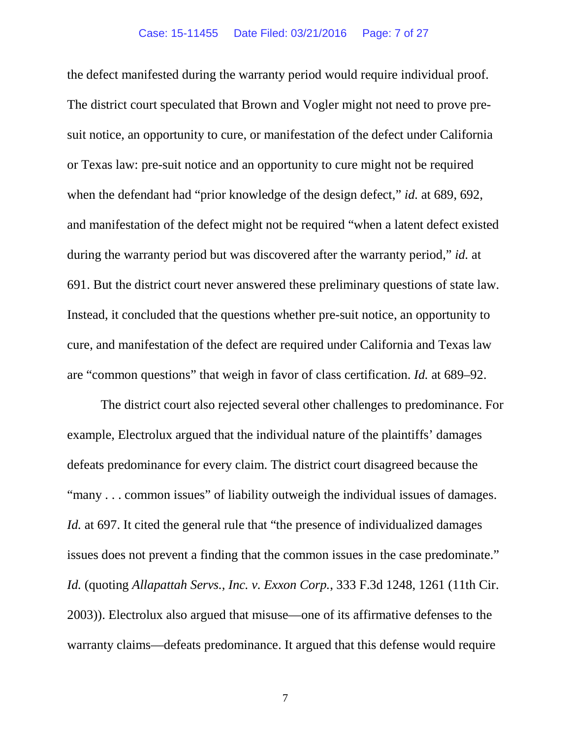the defect manifested during the warranty period would require individual proof. The district court speculated that Brown and Vogler might not need to prove presuit notice, an opportunity to cure, or manifestation of the defect under California or Texas law: pre-suit notice and an opportunity to cure might not be required when the defendant had "prior knowledge of the design defect," *id.* at 689, 692, and manifestation of the defect might not be required "when a latent defect existed during the warranty period but was discovered after the warranty period," *id.* at 691. But the district court never answered these preliminary questions of state law. Instead, it concluded that the questions whether pre-suit notice, an opportunity to cure, and manifestation of the defect are required under California and Texas law are "common questions" that weigh in favor of class certification. *Id.* at 689–92.

The district court also rejected several other challenges to predominance. For example, Electrolux argued that the individual nature of the plaintiffs' damages defeats predominance for every claim. The district court disagreed because the "many . . . common issues" of liability outweigh the individual issues of damages. *Id.* at 697. It cited the general rule that "the presence of individualized damages issues does not prevent a finding that the common issues in the case predominate." *Id.* (quoting *Allapattah Servs., Inc. v. Exxon Corp.*, 333 F.3d 1248, 1261 (11th Cir. 2003)). Electrolux also argued that misuse—one of its affirmative defenses to the warranty claims—defeats predominance. It argued that this defense would require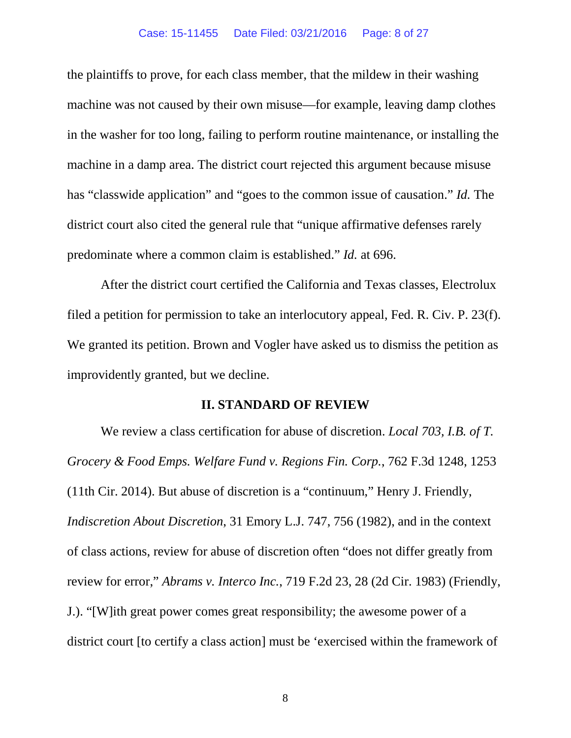#### Case: 15-11455 Date Filed: 03/21/2016 Page: 8 of 27

the plaintiffs to prove, for each class member, that the mildew in their washing machine was not caused by their own misuse—for example, leaving damp clothes in the washer for too long, failing to perform routine maintenance, or installing the machine in a damp area. The district court rejected this argument because misuse has "classwide application" and "goes to the common issue of causation." *Id.* The district court also cited the general rule that "unique affirmative defenses rarely predominate where a common claim is established." *Id.* at 696.

After the district court certified the California and Texas classes, Electrolux filed a petition for permission to take an interlocutory appeal, Fed. R. Civ. P. 23(f). We granted its petition. Brown and Vogler have asked us to dismiss the petition as improvidently granted, but we decline.

#### **II. STANDARD OF REVIEW**

We review a class certification for abuse of discretion. *Local 703, I.B. of T. Grocery & Food Emps. Welfare Fund v. Regions Fin. Corp.*, 762 F.3d 1248, 1253 (11th Cir. 2014). But abuse of discretion is a "continuum," Henry J. Friendly, *Indiscretion About Discretion*, 31 Emory L.J. 747, 756 (1982), and in the context of class actions, review for abuse of discretion often "does not differ greatly from review for error," *Abrams v. Interco Inc.*, 719 F.2d 23, 28 (2d Cir. 1983) (Friendly, J.). "[W]ith great power comes great responsibility; the awesome power of a district court [to certify a class action] must be 'exercised within the framework of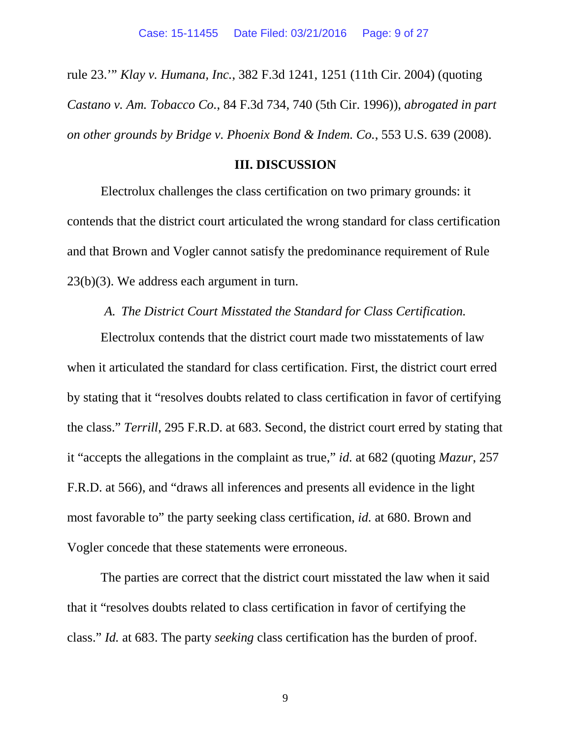rule 23.'" *Klay v. Humana, Inc.*, 382 F.3d 1241, 1251 (11th Cir. 2004) (quoting *Castano v. Am. Tobacco Co.*, 84 F.3d 734, 740 (5th Cir. 1996)), *abrogated in part on other grounds by Bridge v. Phoenix Bond & Indem. Co.*, 553 U.S. 639 (2008).

#### **III. DISCUSSION**

Electrolux challenges the class certification on two primary grounds: it contends that the district court articulated the wrong standard for class certification and that Brown and Vogler cannot satisfy the predominance requirement of Rule 23(b)(3). We address each argument in turn.

*A. The District Court Misstated the Standard for Class Certification.*

Electrolux contends that the district court made two misstatements of law when it articulated the standard for class certification. First, the district court erred by stating that it "resolves doubts related to class certification in favor of certifying the class." *Terrill*, 295 F.R.D. at 683. Second, the district court erred by stating that it "accepts the allegations in the complaint as true," *id.* at 682 (quoting *Mazur*, 257 F.R.D. at 566), and "draws all inferences and presents all evidence in the light most favorable to" the party seeking class certification, *id.* at 680. Brown and Vogler concede that these statements were erroneous.

The parties are correct that the district court misstated the law when it said that it "resolves doubts related to class certification in favor of certifying the class." *Id.* at 683. The party *seeking* class certification has the burden of proof.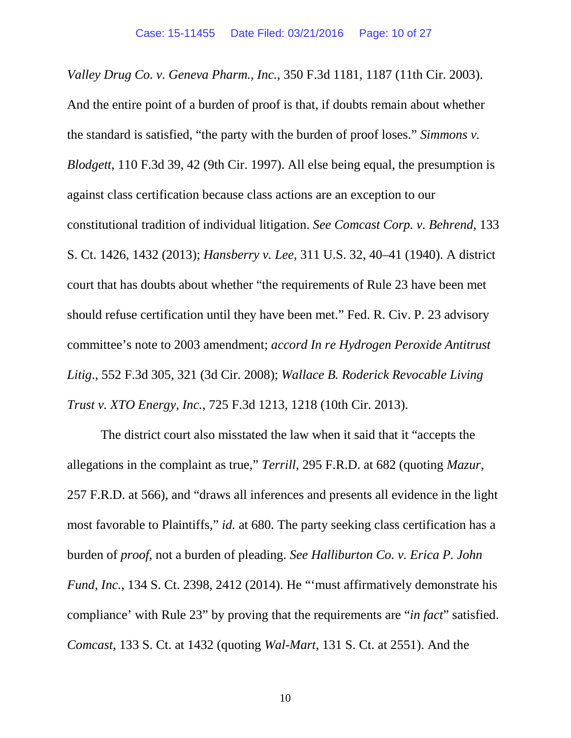*Valley Drug Co. v. Geneva Pharm., Inc.*, 350 F.3d 1181, 1187 (11th Cir. 2003). And the entire point of a burden of proof is that, if doubts remain about whether the standard is satisfied, "the party with the burden of proof loses." *Simmons v. Blodgett*, 110 F.3d 39, 42 (9th Cir. 1997). All else being equal, the presumption is against class certification because class actions are an exception to our constitutional tradition of individual litigation. *See Comcast Corp. v. Behrend*, 133 S. Ct. 1426, 1432 (2013); *Hansberry v. Lee*, 311 U.S. 32, 40–41 (1940). A district court that has doubts about whether "the requirements of Rule 23 have been met should refuse certification until they have been met." Fed. R. Civ. P. 23 advisory committee's note to 2003 amendment; *accord In re Hydrogen Peroxide Antitrust Litig*., 552 F.3d 305, 321 (3d Cir. 2008); *Wallace B. Roderick Revocable Living Trust v. XTO Energy, Inc.*, 725 F.3d 1213, 1218 (10th Cir. 2013).

The district court also misstated the law when it said that it "accepts the allegations in the complaint as true," *Terrill*, 295 F.R.D. at 682 (quoting *Mazur*, 257 F.R.D. at 566), and "draws all inferences and presents all evidence in the light most favorable to Plaintiffs," *id.* at 680. The party seeking class certification has a burden of *proof*, not a burden of pleading. *See Halliburton Co. v. Erica P. John Fund, Inc.*, 134 S. Ct. 2398, 2412 (2014). He "'must affirmatively demonstrate his compliance' with Rule 23" by proving that the requirements are "*in fact*" satisfied. *Comcast*, 133 S. Ct. at 1432 (quoting *Wal-Mart*, 131 S. Ct. at 2551). And the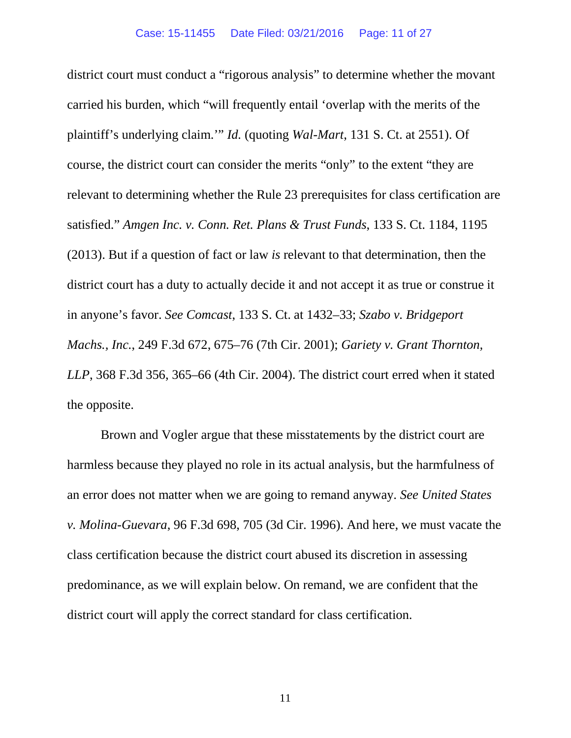district court must conduct a "rigorous analysis" to determine whether the movant carried his burden, which "will frequently entail 'overlap with the merits of the plaintiff's underlying claim.'" *Id.* (quoting *Wal-Mart*, 131 S. Ct. at 2551). Of course, the district court can consider the merits "only" to the extent "they are relevant to determining whether the Rule 23 prerequisites for class certification are satisfied." *Amgen Inc. v. Conn. Ret. Plans & Trust Funds*, 133 S. Ct. 1184, 1195 (2013). But if a question of fact or law *is* relevant to that determination, then the district court has a duty to actually decide it and not accept it as true or construe it in anyone's favor. *See Comcast*, 133 S. Ct. at 1432–33; *Szabo v. Bridgeport Machs., Inc.*, 249 F.3d 672, 675–76 (7th Cir. 2001); *Gariety v. Grant Thornton, LLP*, 368 F.3d 356, 365–66 (4th Cir. 2004). The district court erred when it stated the opposite.

Brown and Vogler argue that these misstatements by the district court are harmless because they played no role in its actual analysis, but the harmfulness of an error does not matter when we are going to remand anyway. *See United States v. Molina-Guevara*, 96 F.3d 698, 705 (3d Cir. 1996). And here, we must vacate the class certification because the district court abused its discretion in assessing predominance, as we will explain below. On remand, we are confident that the district court will apply the correct standard for class certification.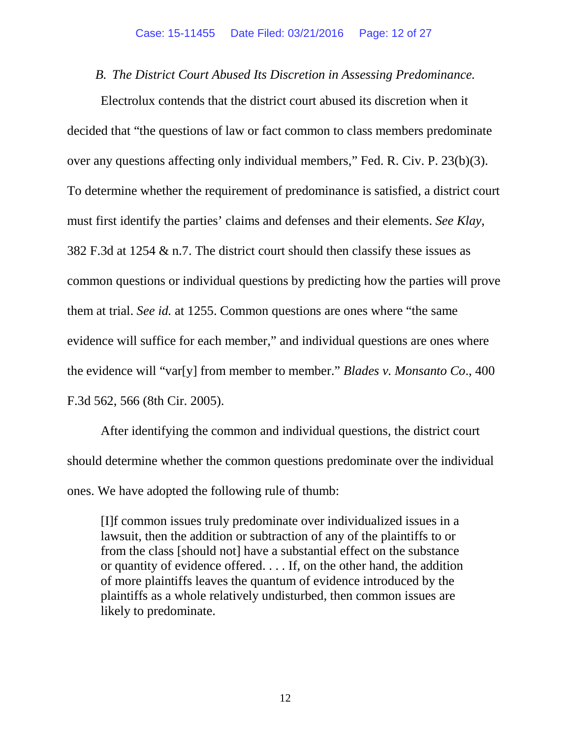*B. The District Court Abused Its Discretion in Assessing Predominance.*

Electrolux contends that the district court abused its discretion when it decided that "the questions of law or fact common to class members predominate over any questions affecting only individual members," Fed. R. Civ. P. 23(b)(3). To determine whether the requirement of predominance is satisfied, a district court must first identify the parties' claims and defenses and their elements. *See Klay*, 382 F.3d at 1254 & n.7. The district court should then classify these issues as common questions or individual questions by predicting how the parties will prove them at trial. *See id.* at 1255. Common questions are ones where "the same evidence will suffice for each member," and individual questions are ones where the evidence will "var[y] from member to member." *Blades v. Monsanto Co*., 400 F.3d 562, 566 (8th Cir. 2005).

After identifying the common and individual questions, the district court should determine whether the common questions predominate over the individual ones. We have adopted the following rule of thumb:

[I]f common issues truly predominate over individualized issues in a lawsuit, then the addition or subtraction of any of the plaintiffs to or from the class [should not] have a substantial effect on the substance or quantity of evidence offered. . . . If, on the other hand, the addition of more plaintiffs leaves the quantum of evidence introduced by the plaintiffs as a whole relatively undisturbed, then common issues are likely to predominate.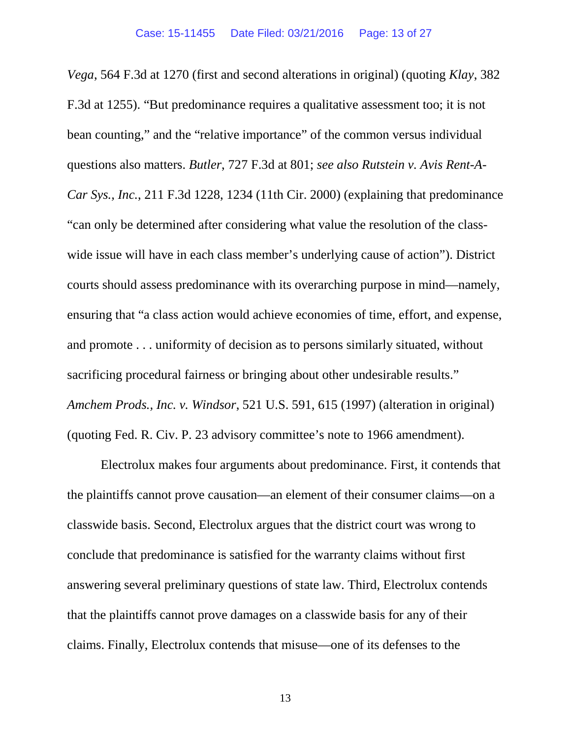*Vega*, 564 F.3d at 1270 (first and second alterations in original) (quoting *Klay*, 382 F.3d at 1255). "But predominance requires a qualitative assessment too; it is not bean counting," and the "relative importance" of the common versus individual questions also matters. *Butler*, 727 F.3d at 801; *see also Rutstein v. Avis Rent-A-Car Sys., Inc.*, 211 F.3d 1228, 1234 (11th Cir. 2000) (explaining that predominance "can only be determined after considering what value the resolution of the classwide issue will have in each class member's underlying cause of action"). District courts should assess predominance with its overarching purpose in mind—namely, ensuring that "a class action would achieve economies of time, effort, and expense, and promote . . . uniformity of decision as to persons similarly situated, without sacrificing procedural fairness or bringing about other undesirable results." *Amchem Prods., Inc. v. Windsor*, 521 U.S. 591, 615 (1997) (alteration in original) (quoting Fed. R. Civ. P. 23 advisory committee's note to 1966 amendment).

Electrolux makes four arguments about predominance. First, it contends that the plaintiffs cannot prove causation—an element of their consumer claims—on a classwide basis. Second, Electrolux argues that the district court was wrong to conclude that predominance is satisfied for the warranty claims without first answering several preliminary questions of state law. Third, Electrolux contends that the plaintiffs cannot prove damages on a classwide basis for any of their claims. Finally, Electrolux contends that misuse—one of its defenses to the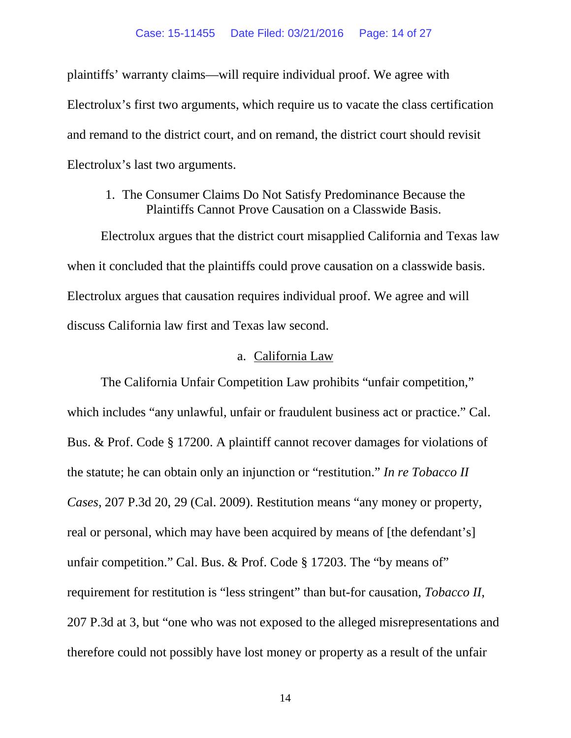plaintiffs' warranty claims—will require individual proof. We agree with Electrolux's first two arguments, which require us to vacate the class certification and remand to the district court, and on remand, the district court should revisit Electrolux's last two arguments.

### 1. The Consumer Claims Do Not Satisfy Predominance Because the Plaintiffs Cannot Prove Causation on a Classwide Basis.

Electrolux argues that the district court misapplied California and Texas law when it concluded that the plaintiffs could prove causation on a classwide basis. Electrolux argues that causation requires individual proof. We agree and will discuss California law first and Texas law second.

### a. California Law

The California Unfair Competition Law prohibits "unfair competition," which includes "any unlawful, unfair or fraudulent business act or practice." Cal. Bus. & Prof. Code § 17200. A plaintiff cannot recover damages for violations of the statute; he can obtain only an injunction or "restitution." *In re Tobacco II Cases*, 207 P.3d 20, 29 (Cal. 2009). Restitution means "any money or property, real or personal, which may have been acquired by means of [the defendant's] unfair competition." Cal. Bus. & Prof. Code § 17203. The "by means of" requirement for restitution is "less stringent" than but-for causation, *Tobacco II*, 207 P.3d at 3, but "one who was not exposed to the alleged misrepresentations and therefore could not possibly have lost money or property as a result of the unfair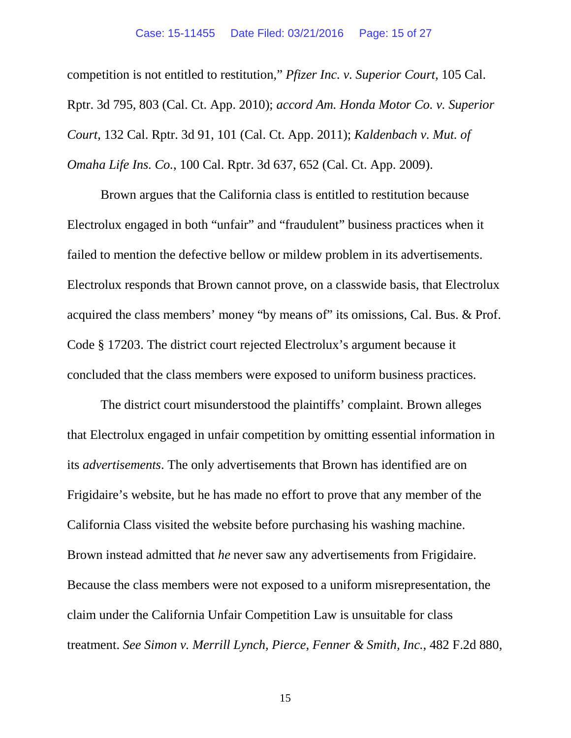competition is not entitled to restitution," *Pfizer Inc. v. Superior Court*, 105 Cal. Rptr. 3d 795, 803 (Cal. Ct. App. 2010); *accord Am. Honda Motor Co. v. Superior Court*, 132 Cal. Rptr. 3d 91, 101 (Cal. Ct. App. 2011); *Kaldenbach v. Mut. of Omaha Life Ins. Co.*, 100 Cal. Rptr. 3d 637, 652 (Cal. Ct. App. 2009).

Brown argues that the California class is entitled to restitution because Electrolux engaged in both "unfair" and "fraudulent" business practices when it failed to mention the defective bellow or mildew problem in its advertisements. Electrolux responds that Brown cannot prove, on a classwide basis, that Electrolux acquired the class members' money "by means of" its omissions, Cal. Bus. & Prof. Code § 17203. The district court rejected Electrolux's argument because it concluded that the class members were exposed to uniform business practices.

The district court misunderstood the plaintiffs' complaint. Brown alleges that Electrolux engaged in unfair competition by omitting essential information in its *advertisements*. The only advertisements that Brown has identified are on Frigidaire's website, but he has made no effort to prove that any member of the California Class visited the website before purchasing his washing machine. Brown instead admitted that *he* never saw any advertisements from Frigidaire. Because the class members were not exposed to a uniform misrepresentation, the claim under the California Unfair Competition Law is unsuitable for class treatment. *See Simon v. Merrill Lynch, Pierce, Fenner & Smith, Inc.*, 482 F.2d 880,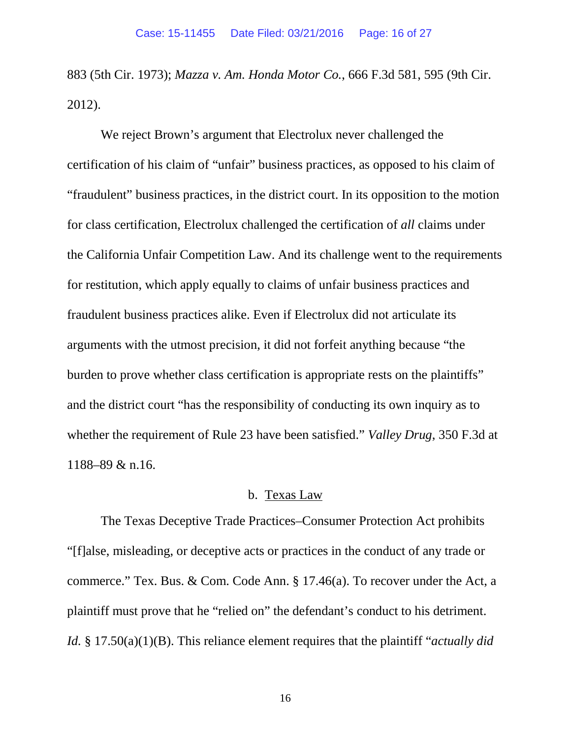883 (5th Cir. 1973); *Mazza v. Am. Honda Motor Co.*, 666 F.3d 581, 595 (9th Cir. 2012).

We reject Brown's argument that Electrolux never challenged the certification of his claim of "unfair" business practices, as opposed to his claim of "fraudulent" business practices, in the district court. In its opposition to the motion for class certification, Electrolux challenged the certification of *all* claims under the California Unfair Competition Law. And its challenge went to the requirements for restitution, which apply equally to claims of unfair business practices and fraudulent business practices alike. Even if Electrolux did not articulate its arguments with the utmost precision, it did not forfeit anything because "the burden to prove whether class certification is appropriate rests on the plaintiffs" and the district court "has the responsibility of conducting its own inquiry as to whether the requirement of Rule 23 have been satisfied." *Valley Drug*, 350 F.3d at 1188–89 & n.16.

### b. Texas Law

The Texas Deceptive Trade Practices–Consumer Protection Act prohibits "[f]alse, misleading, or deceptive acts or practices in the conduct of any trade or commerce." Tex. Bus. & Com. Code Ann. § 17.46(a). To recover under the Act, a plaintiff must prove that he "relied on" the defendant's conduct to his detriment. *Id.* § 17.50(a)(1)(B). This reliance element requires that the plaintiff "*actually did*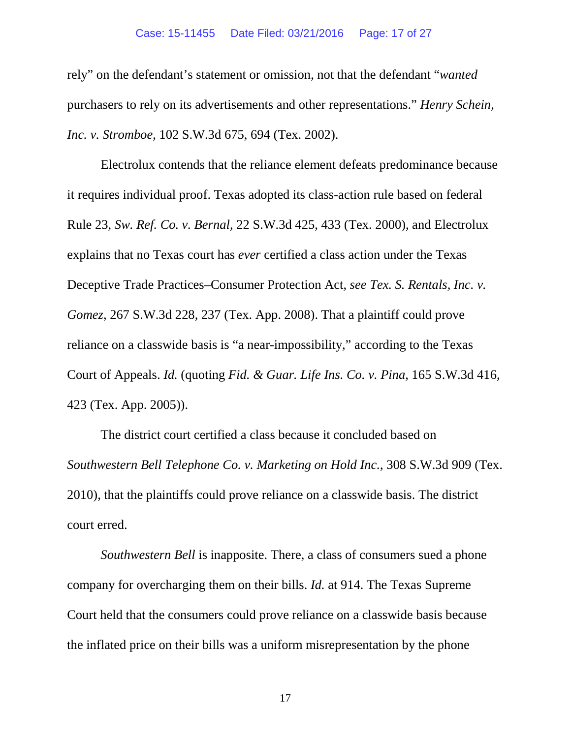rely" on the defendant's statement or omission, not that the defendant "*wanted* purchasers to rely on its advertisements and other representations." *Henry Schein, Inc. v. Stromboe*, 102 S.W.3d 675, 694 (Tex. 2002).

Electrolux contends that the reliance element defeats predominance because it requires individual proof. Texas adopted its class-action rule based on federal Rule 23, *Sw. Ref. Co. v. Bernal*, 22 S.W.3d 425, 433 (Tex. 2000), and Electrolux explains that no Texas court has *ever* certified a class action under the Texas Deceptive Trade Practices–Consumer Protection Act, *see Tex. S. Rentals, Inc. v. Gomez*, 267 S.W.3d 228, 237 (Tex. App. 2008). That a plaintiff could prove reliance on a classwide basis is "a near-impossibility," according to the Texas Court of Appeals. *Id.* (quoting *Fid. & Guar. Life Ins. Co. v. Pina*, 165 S.W.3d 416, 423 (Tex. App. 2005)).

The district court certified a class because it concluded based on *Southwestern Bell Telephone Co. v. Marketing on Hold Inc.*, 308 S.W.3d 909 (Tex. 2010), that the plaintiffs could prove reliance on a classwide basis. The district court erred.

*Southwestern Bell* is inapposite. There, a class of consumers sued a phone company for overcharging them on their bills. *Id.* at 914. The Texas Supreme Court held that the consumers could prove reliance on a classwide basis because the inflated price on their bills was a uniform misrepresentation by the phone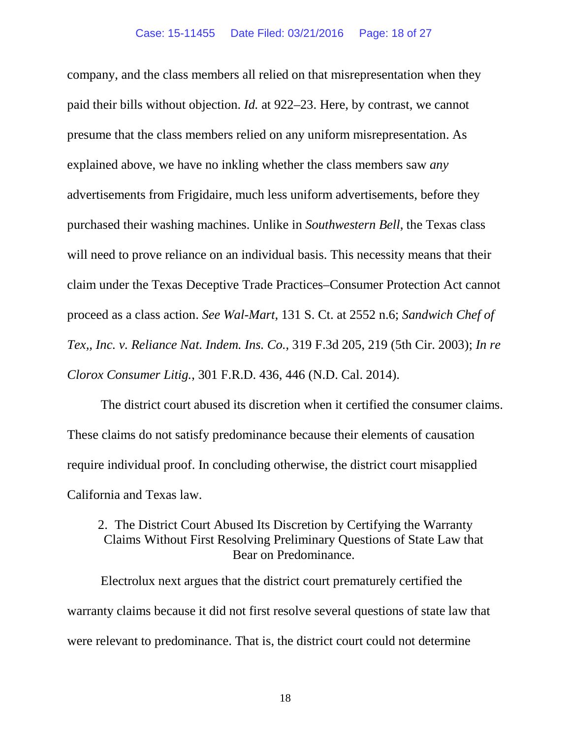company, and the class members all relied on that misrepresentation when they paid their bills without objection. *Id.* at 922–23. Here, by contrast, we cannot presume that the class members relied on any uniform misrepresentation. As explained above, we have no inkling whether the class members saw *any* advertisements from Frigidaire, much less uniform advertisements, before they purchased their washing machines. Unlike in *Southwestern Bell*, the Texas class will need to prove reliance on an individual basis. This necessity means that their claim under the Texas Deceptive Trade Practices–Consumer Protection Act cannot proceed as a class action. *See Wal-Mart*, 131 S. Ct. at 2552 n.6; *Sandwich Chef of Tex,, Inc. v. Reliance Nat. Indem. Ins. Co.*, 319 F.3d 205, 219 (5th Cir. 2003); *In re Clorox Consumer Litig.*, 301 F.R.D. 436, 446 (N.D. Cal. 2014).

The district court abused its discretion when it certified the consumer claims. These claims do not satisfy predominance because their elements of causation require individual proof. In concluding otherwise, the district court misapplied California and Texas law.

## 2. The District Court Abused Its Discretion by Certifying the Warranty Claims Without First Resolving Preliminary Questions of State Law that Bear on Predominance.

Electrolux next argues that the district court prematurely certified the warranty claims because it did not first resolve several questions of state law that were relevant to predominance. That is, the district court could not determine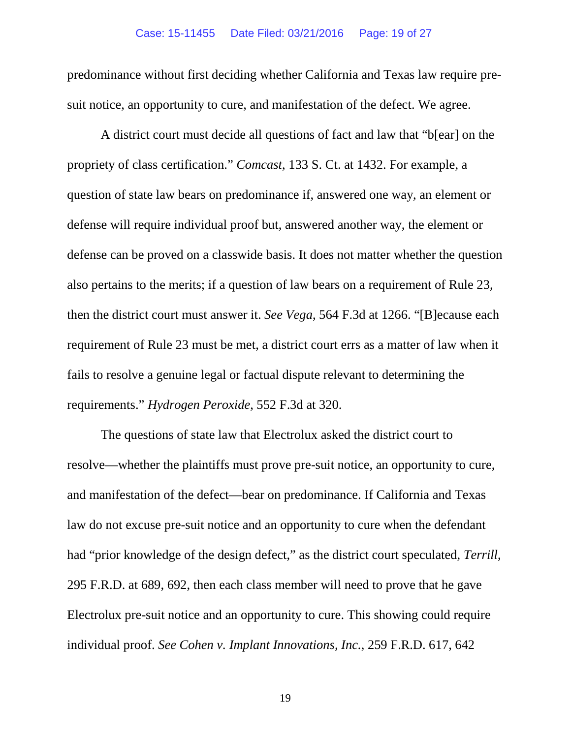predominance without first deciding whether California and Texas law require presuit notice, an opportunity to cure, and manifestation of the defect. We agree.

A district court must decide all questions of fact and law that "b[ear] on the propriety of class certification." *Comcast*, 133 S. Ct. at 1432. For example, a question of state law bears on predominance if, answered one way, an element or defense will require individual proof but, answered another way, the element or defense can be proved on a classwide basis. It does not matter whether the question also pertains to the merits; if a question of law bears on a requirement of Rule 23, then the district court must answer it. *See Vega*, 564 F.3d at 1266. "[B]ecause each requirement of Rule 23 must be met, a district court errs as a matter of law when it fails to resolve a genuine legal or factual dispute relevant to determining the requirements." *Hydrogen Peroxide*, 552 F.3d at 320.

The questions of state law that Electrolux asked the district court to resolve—whether the plaintiffs must prove pre-suit notice, an opportunity to cure, and manifestation of the defect—bear on predominance. If California and Texas law do not excuse pre-suit notice and an opportunity to cure when the defendant had "prior knowledge of the design defect," as the district court speculated, *Terrill*, 295 F.R.D. at 689, 692, then each class member will need to prove that he gave Electrolux pre-suit notice and an opportunity to cure. This showing could require individual proof. *See Cohen v. Implant Innovations, Inc.*, 259 F.R.D. 617, 642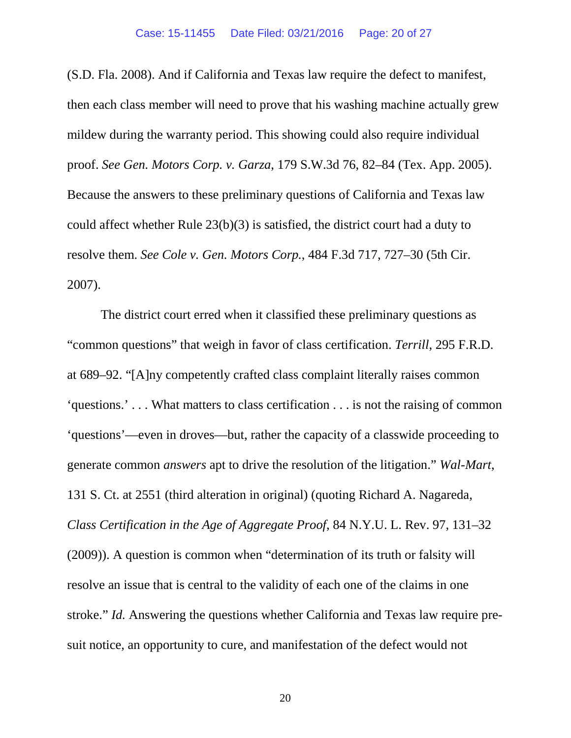(S.D. Fla. 2008). And if California and Texas law require the defect to manifest, then each class member will need to prove that his washing machine actually grew mildew during the warranty period. This showing could also require individual proof. *See Gen. Motors Corp. v. Garza*, 179 S.W.3d 76, 82–84 (Tex. App. 2005). Because the answers to these preliminary questions of California and Texas law could affect whether Rule 23(b)(3) is satisfied, the district court had a duty to resolve them. *See Cole v. Gen. Motors Corp.*, 484 F.3d 717, 727–30 (5th Cir. 2007).

The district court erred when it classified these preliminary questions as "common questions" that weigh in favor of class certification. *Terrill*, 295 F.R.D. at 689–92. "[A]ny competently crafted class complaint literally raises common 'questions.' . . . What matters to class certification . . . is not the raising of common 'questions'—even in droves—but, rather the capacity of a classwide proceeding to generate common *answers* apt to drive the resolution of the litigation." *Wal-Mart*, 131 S. Ct. at 2551 (third alteration in original) (quoting Richard A. Nagareda, *Class Certification in the Age of Aggregate Proof*, 84 N.Y.U. L. Rev. 97, 131–32 (2009)). A question is common when "determination of its truth or falsity will resolve an issue that is central to the validity of each one of the claims in one stroke." *Id.* Answering the questions whether California and Texas law require presuit notice, an opportunity to cure, and manifestation of the defect would not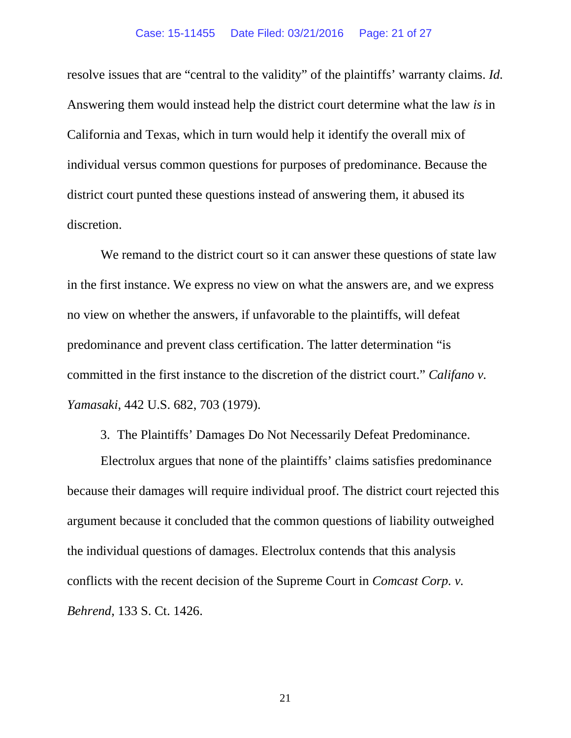resolve issues that are "central to the validity" of the plaintiffs' warranty claims. *Id.* Answering them would instead help the district court determine what the law *is* in California and Texas, which in turn would help it identify the overall mix of individual versus common questions for purposes of predominance. Because the district court punted these questions instead of answering them, it abused its discretion.

We remand to the district court so it can answer these questions of state law in the first instance. We express no view on what the answers are, and we express no view on whether the answers, if unfavorable to the plaintiffs, will defeat predominance and prevent class certification. The latter determination "is committed in the first instance to the discretion of the district court." *Califano v. Yamasaki*, 442 U.S. 682, 703 (1979).

3. The Plaintiffs' Damages Do Not Necessarily Defeat Predominance.

Electrolux argues that none of the plaintiffs' claims satisfies predominance because their damages will require individual proof. The district court rejected this argument because it concluded that the common questions of liability outweighed the individual questions of damages. Electrolux contends that this analysis conflicts with the recent decision of the Supreme Court in *Comcast Corp. v. Behrend*, 133 S. Ct. 1426.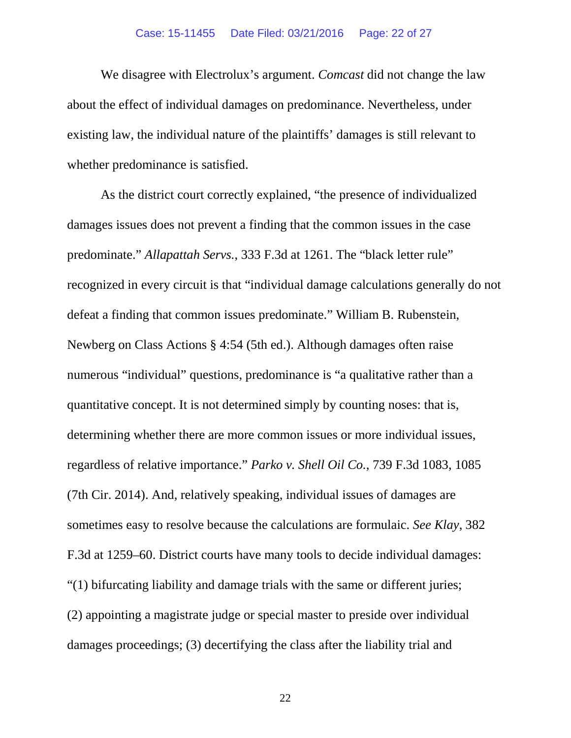#### Case: 15-11455 Date Filed: 03/21/2016 Page: 22 of 27

We disagree with Electrolux's argument. *Comcast* did not change the law about the effect of individual damages on predominance. Nevertheless, under existing law, the individual nature of the plaintiffs' damages is still relevant to whether predominance is satisfied.

As the district court correctly explained, "the presence of individualized damages issues does not prevent a finding that the common issues in the case predominate." *Allapattah Servs.*, 333 F.3d at 1261. The "black letter rule" recognized in every circuit is that "individual damage calculations generally do not defeat a finding that common issues predominate." William B. Rubenstein, Newberg on Class Actions § 4:54 (5th ed.). Although damages often raise numerous "individual" questions, predominance is "a qualitative rather than a quantitative concept. It is not determined simply by counting noses: that is, determining whether there are more common issues or more individual issues, regardless of relative importance." *Parko v. Shell Oil Co.*, 739 F.3d 1083, 1085 (7th Cir. 2014). And, relatively speaking, individual issues of damages are sometimes easy to resolve because the calculations are formulaic. *See Klay*, 382 F.3d at 1259–60. District courts have many tools to decide individual damages: "(1) bifurcating liability and damage trials with the same or different juries; (2) appointing a magistrate judge or special master to preside over individual damages proceedings; (3) decertifying the class after the liability trial and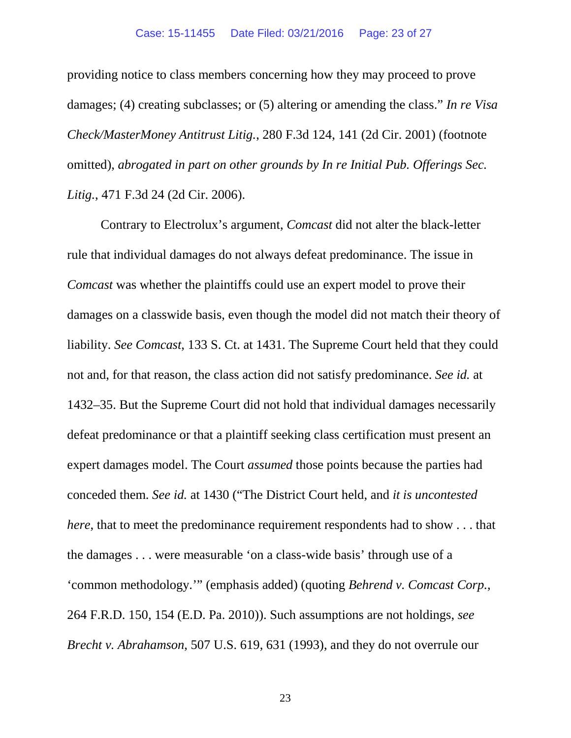providing notice to class members concerning how they may proceed to prove damages; (4) creating subclasses; or (5) altering or amending the class." *In re Visa Check/MasterMoney Antitrust Litig.*, 280 F.3d 124, 141 (2d Cir. 2001) (footnote omitted), *abrogated in part on other grounds by In re Initial Pub. Offerings Sec. Litig.*, 471 F.3d 24 (2d Cir. 2006).

Contrary to Electrolux's argument, *Comcast* did not alter the black-letter rule that individual damages do not always defeat predominance. The issue in *Comcast* was whether the plaintiffs could use an expert model to prove their damages on a classwide basis, even though the model did not match their theory of liability. *See Comcast*, 133 S. Ct. at 1431. The Supreme Court held that they could not and, for that reason, the class action did not satisfy predominance. *See id.* at 1432–35. But the Supreme Court did not hold that individual damages necessarily defeat predominance or that a plaintiff seeking class certification must present an expert damages model. The Court *assumed* those points because the parties had conceded them. *See id.* at 1430 ("The District Court held, and *it is uncontested here*, that to meet the predominance requirement respondents had to show . . . that the damages . . . were measurable 'on a class-wide basis' through use of a 'common methodology.'" (emphasis added) (quoting *Behrend v. Comcast Corp.*, 264 F.R.D. 150, 154 (E.D. Pa. 2010)). Such assumptions are not holdings, *see Brecht v. Abrahamson*, 507 U.S. 619, 631 (1993), and they do not overrule our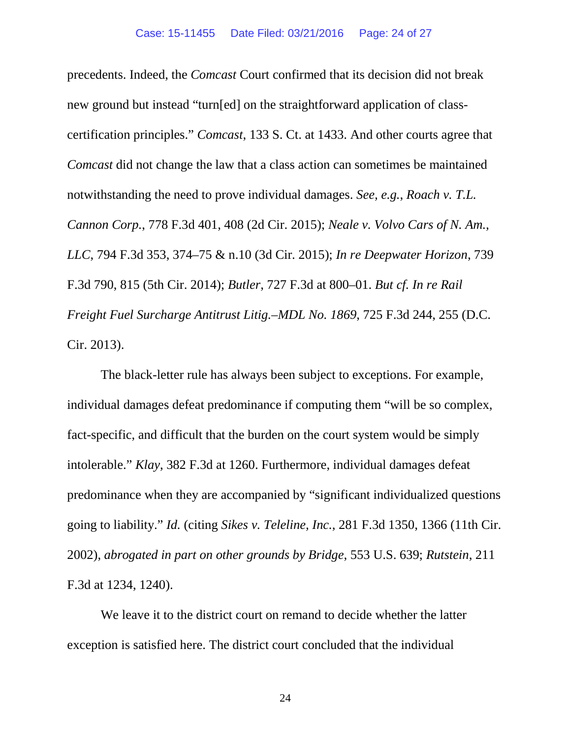precedents. Indeed, the *Comcast* Court confirmed that its decision did not break new ground but instead "turn[ed] on the straightforward application of classcertification principles." *Comcast*, 133 S. Ct. at 1433. And other courts agree that *Comcast* did not change the law that a class action can sometimes be maintained notwithstanding the need to prove individual damages. *See, e.g.*, *Roach v. T.L. Cannon Corp.*, 778 F.3d 401, 408 (2d Cir. 2015); *Neale v. Volvo Cars of N. Am., LLC*, 794 F.3d 353, 374–75 & n.10 (3d Cir. 2015); *In re Deepwater Horizon*, 739 F.3d 790, 815 (5th Cir. 2014); *Butler*, 727 F.3d at 800–01. *But cf. In re Rail Freight Fuel Surcharge Antitrust Litig.–MDL No. 1869*, 725 F.3d 244, 255 (D.C. Cir. 2013).

The black-letter rule has always been subject to exceptions. For example, individual damages defeat predominance if computing them "will be so complex, fact-specific, and difficult that the burden on the court system would be simply intolerable." *Klay*, 382 F.3d at 1260. Furthermore, individual damages defeat predominance when they are accompanied by "significant individualized questions going to liability." *Id.* (citing *Sikes v. Teleline, Inc.*, 281 F.3d 1350, 1366 (11th Cir. 2002), *abrogated in part on other grounds by Bridge*, 553 U.S. 639; *Rutstein*, 211 F.3d at 1234, 1240).

We leave it to the district court on remand to decide whether the latter exception is satisfied here. The district court concluded that the individual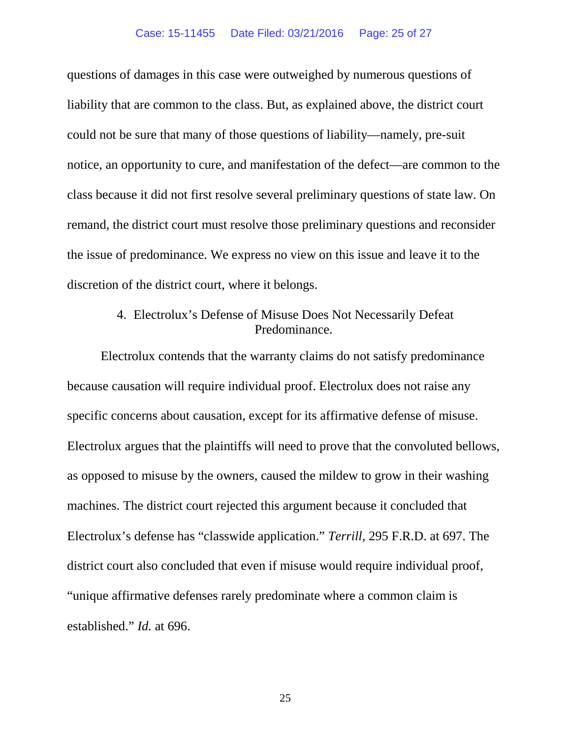questions of damages in this case were outweighed by numerous questions of liability that are common to the class. But, as explained above, the district court could not be sure that many of those questions of liability—namely, pre-suit notice, an opportunity to cure, and manifestation of the defect—are common to the class because it did not first resolve several preliminary questions of state law. On remand, the district court must resolve those preliminary questions and reconsider the issue of predominance. We express no view on this issue and leave it to the discretion of the district court, where it belongs.

# 4. Electrolux's Defense of Misuse Does Not Necessarily Defeat Predominance.

Electrolux contends that the warranty claims do not satisfy predominance because causation will require individual proof. Electrolux does not raise any specific concerns about causation, except for its affirmative defense of misuse. Electrolux argues that the plaintiffs will need to prove that the convoluted bellows, as opposed to misuse by the owners, caused the mildew to grow in their washing machines. The district court rejected this argument because it concluded that Electrolux's defense has "classwide application." *Terrill*, 295 F.R.D. at 697. The district court also concluded that even if misuse would require individual proof, "unique affirmative defenses rarely predominate where a common claim is established." *Id.* at 696.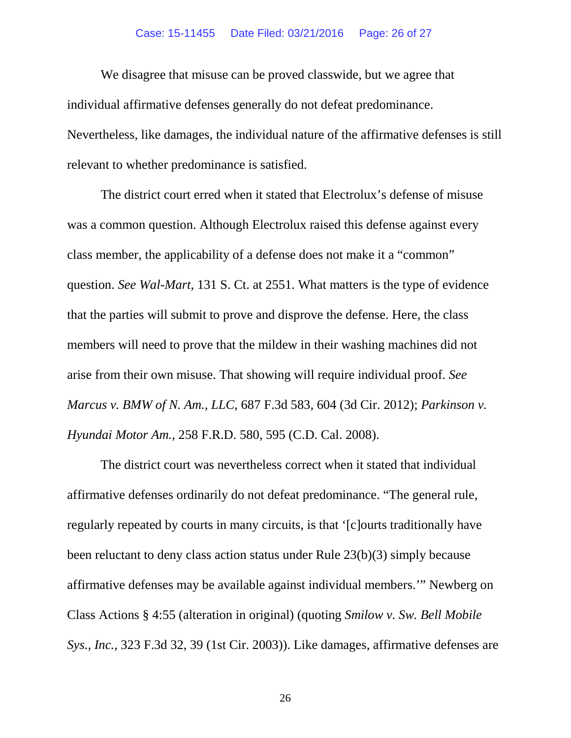#### Case: 15-11455 Date Filed: 03/21/2016 Page: 26 of 27

We disagree that misuse can be proved classwide, but we agree that individual affirmative defenses generally do not defeat predominance. Nevertheless, like damages, the individual nature of the affirmative defenses is still relevant to whether predominance is satisfied.

The district court erred when it stated that Electrolux's defense of misuse was a common question. Although Electrolux raised this defense against every class member, the applicability of a defense does not make it a "common" question. *See Wal-Mart*, 131 S. Ct. at 2551. What matters is the type of evidence that the parties will submit to prove and disprove the defense. Here, the class members will need to prove that the mildew in their washing machines did not arise from their own misuse. That showing will require individual proof. *See Marcus v. BMW of N. Am., LLC*, 687 F.3d 583, 604 (3d Cir. 2012); *Parkinson v. Hyundai Motor Am.*, 258 F.R.D. 580, 595 (C.D. Cal. 2008).

The district court was nevertheless correct when it stated that individual affirmative defenses ordinarily do not defeat predominance. "The general rule, regularly repeated by courts in many circuits, is that '[c]ourts traditionally have been reluctant to deny class action status under Rule 23(b)(3) simply because affirmative defenses may be available against individual members.'" Newberg on Class Actions § 4:55 (alteration in original) (quoting *Smilow v. Sw. Bell Mobile Sys., Inc.*, 323 F.3d 32, 39 (1st Cir. 2003)). Like damages, affirmative defenses are